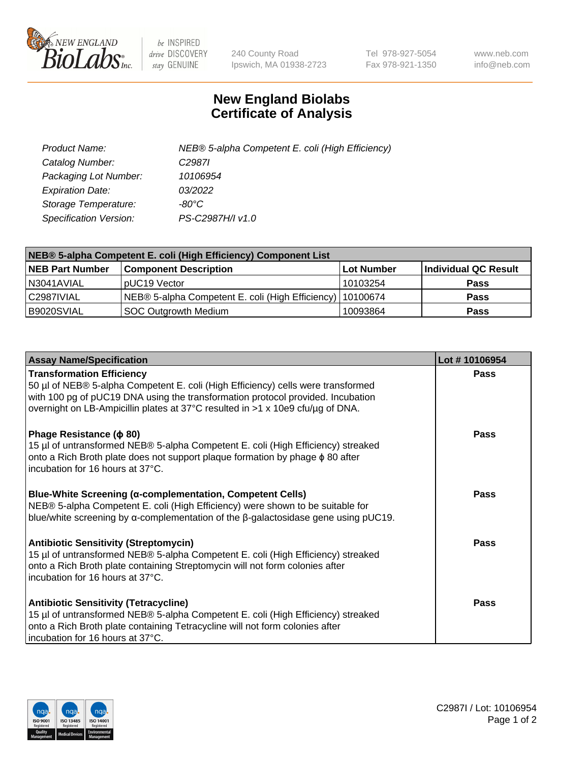

 $be$  INSPIRED drive DISCOVERY stay GENUINE

240 County Road Ipswich, MA 01938-2723 Tel 978-927-5054 Fax 978-921-1350 www.neb.com info@neb.com

## **New England Biolabs Certificate of Analysis**

| Product Name:           | NEB® 5-alpha Competent E. coli (High Efficiency) |
|-------------------------|--------------------------------------------------|
| Catalog Number:         | C <sub>2987</sub>                                |
| Packaging Lot Number:   | 10106954                                         |
| <b>Expiration Date:</b> | 03/2022                                          |
| Storage Temperature:    | -80°C                                            |
| Specification Version:  | PS-C2987H/I v1.0                                 |

| NEB® 5-alpha Competent E. coli (High Efficiency) Component List |                                                             |            |                      |  |
|-----------------------------------------------------------------|-------------------------------------------------------------|------------|----------------------|--|
| <b>NEB Part Number</b>                                          | <b>Component Description</b>                                | Lot Number | Individual QC Result |  |
| N3041AVIAL                                                      | pUC19 Vector                                                | 10103254   | <b>Pass</b>          |  |
| C2987IVIAL                                                      | NEB® 5-alpha Competent E. coli (High Efficiency)   10100674 |            | <b>Pass</b>          |  |
| B9020SVIAL                                                      | <b>SOC Outgrowth Medium</b>                                 | 10093864   | <b>Pass</b>          |  |

| <b>Assay Name/Specification</b>                                                                                                                                                                                                                                                           | Lot #10106954 |
|-------------------------------------------------------------------------------------------------------------------------------------------------------------------------------------------------------------------------------------------------------------------------------------------|---------------|
| <b>Transformation Efficiency</b><br>50 µl of NEB® 5-alpha Competent E. coli (High Efficiency) cells were transformed<br>with 100 pg of pUC19 DNA using the transformation protocol provided. Incubation<br>overnight on LB-Ampicillin plates at 37°C resulted in >1 x 10e9 cfu/µg of DNA. | Pass          |
| Phage Resistance ( $\phi$ 80)<br>15 µl of untransformed NEB® 5-alpha Competent E. coli (High Efficiency) streaked<br>onto a Rich Broth plate does not support plaque formation by phage $\phi$ 80 after<br>Incubation for 16 hours at 37°C.                                               | Pass          |
| <b>Blue-White Screening (α-complementation, Competent Cells)</b><br>NEB® 5-alpha Competent E. coli (High Efficiency) were shown to be suitable for<br>blue/white screening by $\alpha$ -complementation of the $\beta$ -galactosidase gene using pUC19.                                   | <b>Pass</b>   |
| <b>Antibiotic Sensitivity (Streptomycin)</b><br>15 µl of untransformed NEB® 5-alpha Competent E. coli (High Efficiency) streaked<br>onto a Rich Broth plate containing Streptomycin will not form colonies after<br>incubation for 16 hours at 37°C.                                      | Pass          |
| <b>Antibiotic Sensitivity (Tetracycline)</b><br>15 µl of untransformed NEB® 5-alpha Competent E. coli (High Efficiency) streaked<br>onto a Rich Broth plate containing Tetracycline will not form colonies after<br>incubation for 16 hours at 37°C.                                      | Pass          |